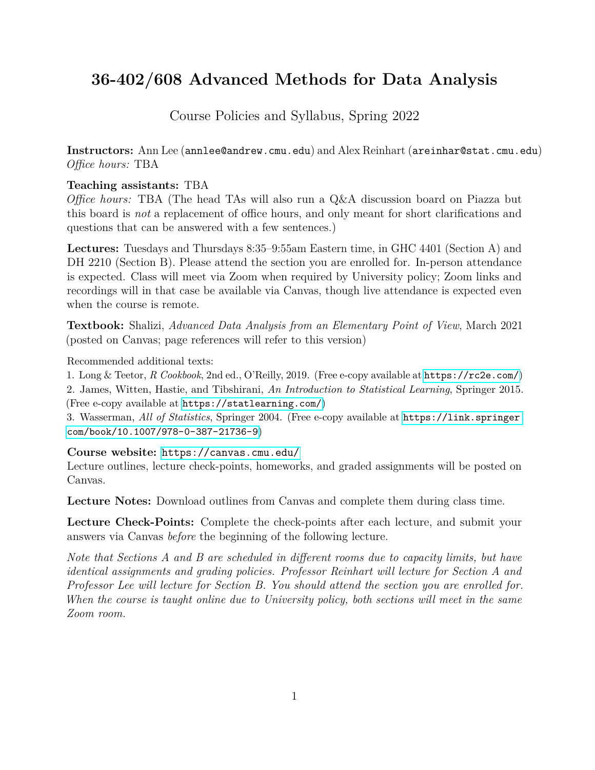# **36-402/608 Advanced Methods for Data Analysis**

Course Policies and Syllabus, Spring 2022

**Instructors:** Ann Lee (annlee@andrew.cmu.edu) and Alex Reinhart (areinhar@stat.cmu.edu) *Office hours:* TBA

#### **Teaching assistants:** TBA

*Office hours:* TBA (The head TAs will also run a Q&A discussion board on Piazza but this board is *not* a replacement of office hours, and only meant for short clarifications and questions that can be answered with a few sentences.)

**Lectures:** Tuesdays and Thursdays 8:35–9:55am Eastern time, in GHC 4401 (Section A) and DH 2210 (Section B). Please attend the section you are enrolled for. In-person attendance is expected. Class will meet via Zoom when required by University policy; Zoom links and recordings will in that case be available via Canvas, though live attendance is expected even when the course is remote.

**Textbook:** Shalizi, *Advanced Data Analysis from an Elementary Point of View*, March 2021 (posted on Canvas; page references will refer to this version)

Recommended additional texts:

1. Long & Teetor, *R Cookbook*, 2nd ed., O'Reilly, 2019. (Free e-copy available at <https://rc2e.com/>) 2. James, Witten, Hastie, and Tibshirani, *An Introduction to Statistical Learning*, Springer 2015. (Free e-copy available at <https://statlearning.com/>)

3. Wasserman, *All of Statistics*, Springer 2004. (Free e-copy available at [https://link.springer.](https://link.springer.com/book/10.1007/978-0-387-21736-9) [com/book/10.1007/978-0-387-21736-9](https://link.springer.com/book/10.1007/978-0-387-21736-9))

**Course website:** <https://canvas.cmu.edu/>

Lecture outlines, lecture check-points, homeworks, and graded assignments will be posted on Canvas.

**Lecture Notes:** Download outlines from Canvas and complete them during class time.

**Lecture Check-Points:** Complete the check-points after each lecture, and submit your answers via Canvas *before* the beginning of the following lecture.

*Note that Sections A and B are scheduled in different rooms due to capacity limits, but have identical assignments and grading policies. Professor Reinhart will lecture for Section A and Professor Lee will lecture for Section B. You should attend the section you are enrolled for. When the course is taught online due to University policy, both sections will meet in the same Zoom room.*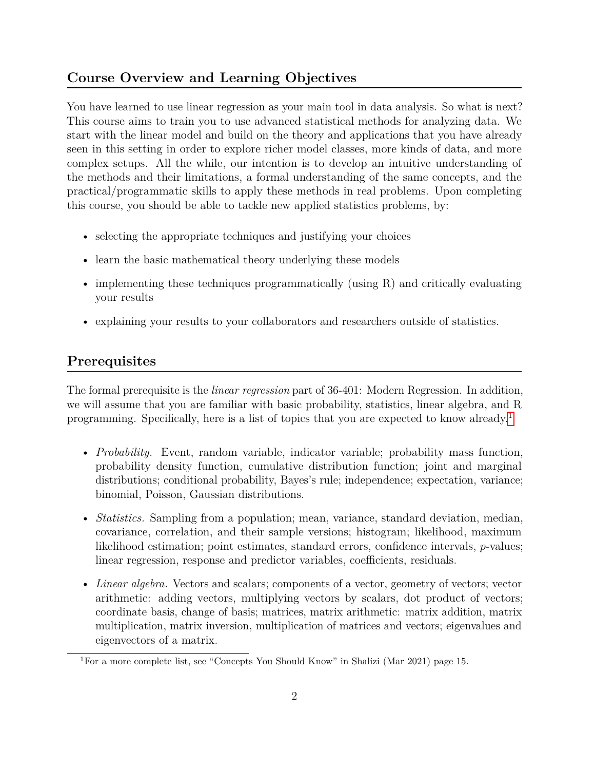### **Course Overview and Learning Objectives**

You have learned to use linear regression as your main tool in data analysis. So what is next? This course aims to train you to use advanced statistical methods for analyzing data. We start with the linear model and build on the theory and applications that you have already seen in this setting in order to explore richer model classes, more kinds of data, and more complex setups. All the while, our intention is to develop an intuitive understanding of the methods and their limitations, a formal understanding of the same concepts, and the practical/programmatic skills to apply these methods in real problems. Upon completing this course, you should be able to tackle new applied statistics problems, by:

- selecting the appropriate techniques and justifying your choices
- learn the basic mathematical theory underlying these models
- implementing these techniques programmatically (using R) and critically evaluating your results
- explaining your results to your collaborators and researchers outside of statistics.

### **Prerequisites**

The formal prerequisite is the *linear regression* part of 36-401: Modern Regression. In addition, we will assume that you are familiar with basic probability, statistics, linear algebra, and R programming. Specifically, here is a list of topics that you are expected to know already.[1](#page-1-0)

- *Probability.* Event, random variable, indicator variable; probability mass function, probability density function, cumulative distribution function; joint and marginal distributions; conditional probability, Bayes's rule; independence; expectation, variance; binomial, Poisson, Gaussian distributions.
- *Statistics*. Sampling from a population; mean, variance, standard deviation, median, covariance, correlation, and their sample versions; histogram; likelihood, maximum likelihood estimation; point estimates, standard errors, confidence intervals, *p*-values; linear regression, response and predictor variables, coefficients, residuals.
- *Linear algebra.* Vectors and scalars; components of a vector, geometry of vectors; vector arithmetic: adding vectors, multiplying vectors by scalars, dot product of vectors; coordinate basis, change of basis; matrices, matrix arithmetic: matrix addition, matrix multiplication, matrix inversion, multiplication of matrices and vectors; eigenvalues and eigenvectors of a matrix.

<span id="page-1-0"></span><sup>1</sup>For a more complete list, see "Concepts You Should Know" in Shalizi (Mar 2021) page 15.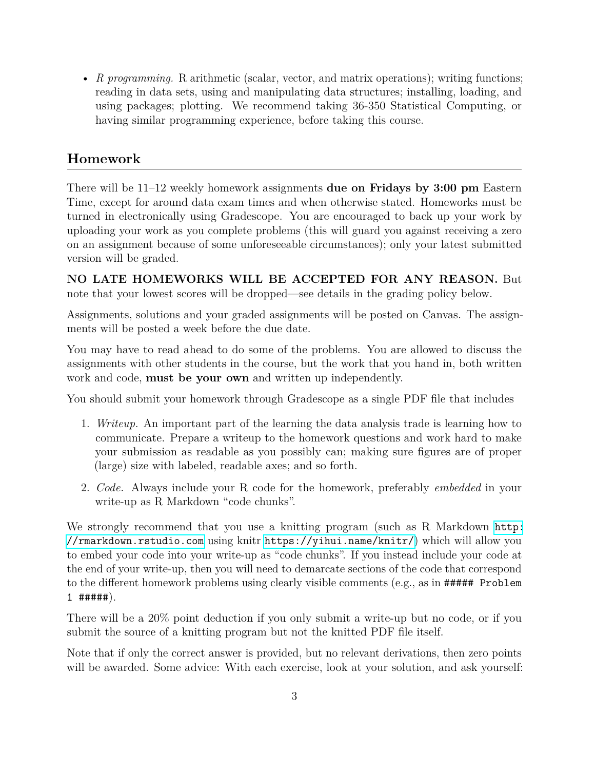• *R programming.* R arithmetic (scalar, vector, and matrix operations); writing functions; reading in data sets, using and manipulating data structures; installing, loading, and using packages; plotting. We recommend taking 36-350 Statistical Computing, or having similar programming experience, before taking this course.

## **Homework**

There will be 11–12 weekly homework assignments **due on Fridays by 3:00 pm** Eastern Time, except for around data exam times and when otherwise stated. Homeworks must be turned in electronically using Gradescope. You are encouraged to back up your work by uploading your work as you complete problems (this will guard you against receiving a zero on an assignment because of some unforeseeable circumstances); only your latest submitted version will be graded.

**NO LATE HOMEWORKS WILL BE ACCEPTED FOR ANY REASON.** But note that your lowest scores will be dropped—see details in the grading policy below.

Assignments, solutions and your graded assignments will be posted on Canvas. The assignments will be posted a week before the due date.

You may have to read ahead to do some of the problems. You are allowed to discuss the assignments with other students in the course, but the work that you hand in, both written work and code, **must be your own** and written up independently.

You should submit your homework through Gradescope as a single PDF file that includes

- 1. *Writeup.* An important part of the learning the data analysis trade is learning how to communicate. Prepare a writeup to the homework questions and work hard to make your submission as readable as you possibly can; making sure figures are of proper (large) size with labeled, readable axes; and so forth.
- 2. *Code.* Always include your R code for the homework, preferably *embedded* in your write-up as R Markdown "code chunks".

We strongly recommend that you use a knitting program (such as R Markdown [http:](http://rmarkdown.rstudio.com) [//rmarkdown.rstudio.com](http://rmarkdown.rstudio.com) using knitr <https://yihui.name/knitr/>) which will allow you to embed your code into your write-up as "code chunks". If you instead include your code at the end of your write-up, then you will need to demarcate sections of the code that correspond to the different homework problems using clearly visible comments (e.g., as in ##### Problem  $1$  ##### $).$ 

There will be a 20% point deduction if you only submit a write-up but no code, or if you submit the source of a knitting program but not the knitted PDF file itself.

Note that if only the correct answer is provided, but no relevant derivations, then zero points will be awarded. Some advice: With each exercise, look at your solution, and ask yourself: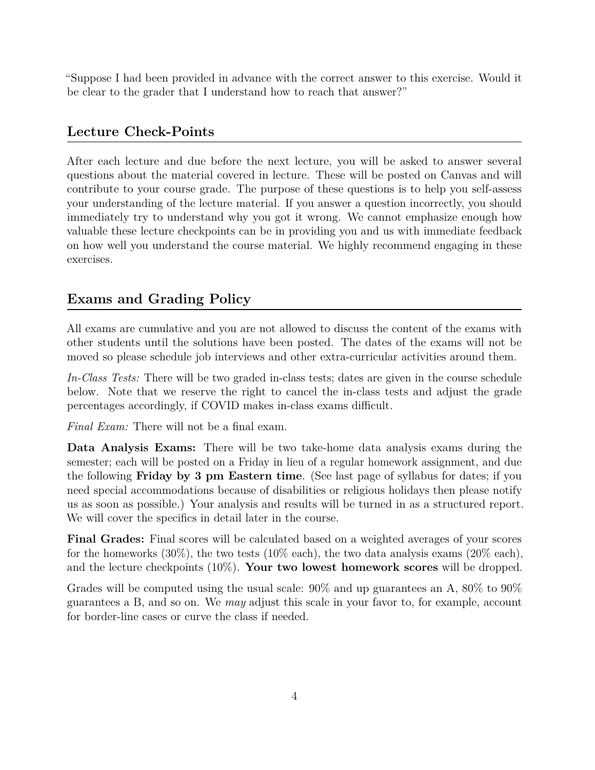"Suppose I had been provided in advance with the correct answer to this exercise. Would it be clear to the grader that I understand how to reach that answer?"

#### **Lecture Check-Points**

After each lecture and due before the next lecture, you will be asked to answer several questions about the material covered in lecture. These will be posted on Canvas and will contribute to your course grade. The purpose of these questions is to help you self-assess your understanding of the lecture material. If you answer a question incorrectly, you should immediately try to understand why you got it wrong. We cannot emphasize enough how valuable these lecture checkpoints can be in providing you and us with immediate feedback on how well you understand the course material. We highly recommend engaging in these exercises.

### **Exams and Grading Policy**

All exams are cumulative and you are not allowed to discuss the content of the exams with other students until the solutions have been posted. The dates of the exams will not be moved so please schedule job interviews and other extra-curricular activities around them.

*In-Class Tests:* There will be two graded in-class tests; dates are given in the course schedule below. Note that we reserve the right to cancel the in-class tests and adjust the grade percentages accordingly, if COVID makes in-class exams difficult.

*Final Exam:* There will not be a final exam.

**Data Analysis Exams:** There will be two take-home data analysis exams during the semester; each will be posted on a Friday in lieu of a regular homework assignment, and due the following **Friday by 3 pm Eastern time**. (See last page of syllabus for dates; if you need special accommodations because of disabilities or religious holidays then please notify us as soon as possible.) Your analysis and results will be turned in as a structured report. We will cover the specifics in detail later in the course.

**Final Grades:** Final scores will be calculated based on a weighted averages of your scores for the homeworks  $(30\%)$ , the two tests  $(10\% \text{ each})$ , the two data analysis exams  $(20\% \text{ each})$ , and the lecture checkpoints (10%). **Your two lowest homework scores** will be dropped.

Grades will be computed using the usual scale: 90% and up guarantees an A, 80% to 90% guarantees a B, and so on. We *may* adjust this scale in your favor to, for example, account for border-line cases or curve the class if needed.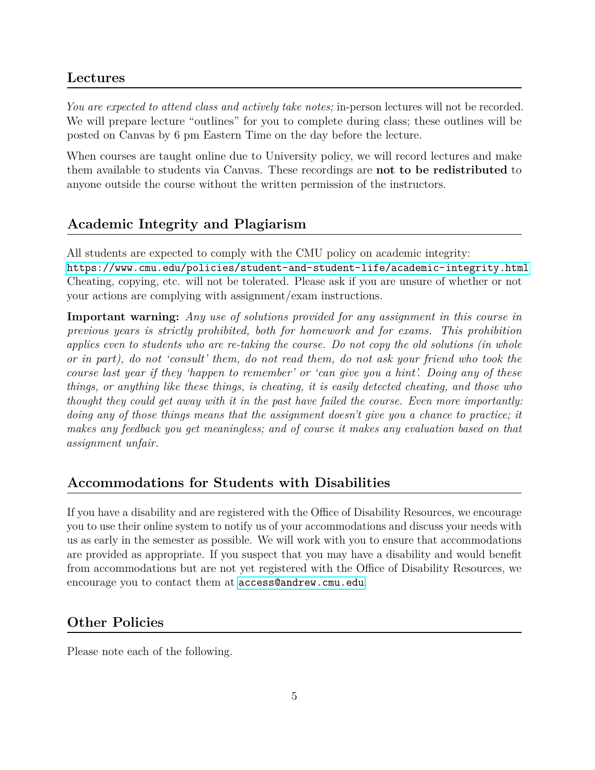#### **Lectures**

*You are expected to attend class and actively take notes;* in-person lectures will not be recorded. We will prepare lecture "outlines" for you to complete during class; these outlines will be posted on Canvas by 6 pm Eastern Time on the day before the lecture.

When courses are taught online due to University policy, we will record lectures and make them available to students via Canvas. These recordings are **not to be redistributed** to anyone outside the course without the written permission of the instructors.

### **Academic Integrity and Plagiarism**

All students are expected to comply with the CMU policy on academic integrity: <https://www.cmu.edu/policies/student-and-student-life/academic-integrity.html> Cheating, copying, etc. will not be tolerated. Please ask if you are unsure of whether or not your actions are complying with assignment/exam instructions.

**Important warning:** *Any use of solutions provided for any assignment in this course in previous years is strictly prohibited, both for homework and for exams. This prohibition applies even to students who are re-taking the course. Do not copy the old solutions (in whole or in part), do not 'consult' them, do not read them, do not ask your friend who took the course last year if they 'happen to remember' or 'can give you a hint'. Doing any of these things, or anything like these things, is cheating, it is easily detected cheating, and those who thought they could get away with it in the past have failed the course. Even more importantly: doing any of those things means that the assignment doesn't give you a chance to practice; it makes any feedback you get meaningless; and of course it makes any evaluation based on that assignment unfair.*

### **Accommodations for Students with Disabilities**

If you have a disability and are registered with the Office of Disability Resources, we encourage you to use their online system to notify us of your accommodations and discuss your needs with us as early in the semester as possible. We will work with you to ensure that accommodations are provided as appropriate. If you suspect that you may have a disability and would benefit from accommodations but are not yet registered with the Office of Disability Resources, we encourage you to contact them at <access@andrew.cmu.edu>.

### **Other Policies**

Please note each of the following.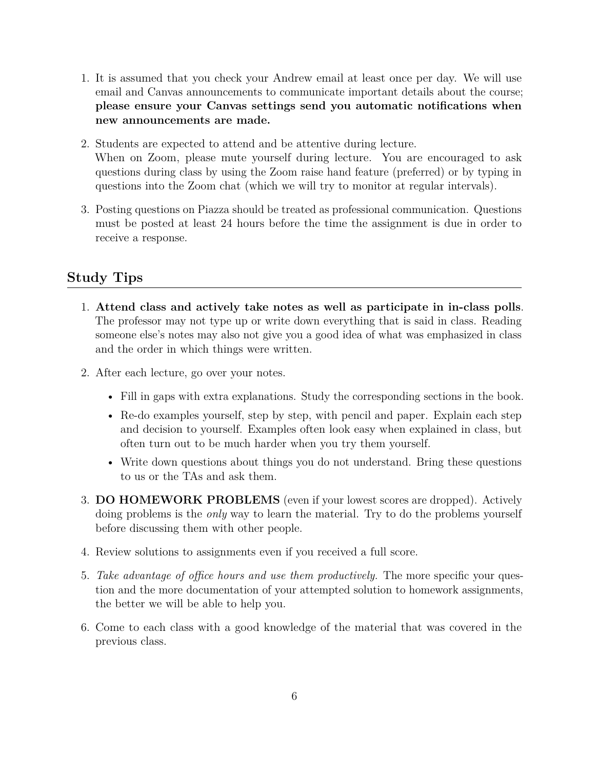- 1. It is assumed that you check your Andrew email at least once per day. We will use email and Canvas announcements to communicate important details about the course; **please ensure your Canvas settings send you automatic notifications when new announcements are made.**
- 2. Students are expected to attend and be attentive during lecture. When on Zoom, please mute yourself during lecture. You are encouraged to ask questions during class by using the Zoom raise hand feature (preferred) or by typing in questions into the Zoom chat (which we will try to monitor at regular intervals).
- 3. Posting questions on Piazza should be treated as professional communication. Questions must be posted at least 24 hours before the time the assignment is due in order to receive a response.

#### **Study Tips**

- 1. **Attend class and actively take notes as well as participate in in-class polls**. The professor may not type up or write down everything that is said in class. Reading someone else's notes may also not give you a good idea of what was emphasized in class and the order in which things were written.
- 2. After each lecture, go over your notes.
	- Fill in gaps with extra explanations. Study the corresponding sections in the book.
	- Re-do examples yourself, step by step, with pencil and paper. Explain each step and decision to yourself. Examples often look easy when explained in class, but often turn out to be much harder when you try them yourself.
	- Write down questions about things you do not understand. Bring these questions to us or the TAs and ask them.
- 3. **DO HOMEWORK PROBLEMS** (even if your lowest scores are dropped). Actively doing problems is the *only* way to learn the material. Try to do the problems yourself before discussing them with other people.
- 4. Review solutions to assignments even if you received a full score.
- 5. *Take advantage of office hours and use them productively.* The more specific your question and the more documentation of your attempted solution to homework assignments, the better we will be able to help you.
- 6. Come to each class with a good knowledge of the material that was covered in the previous class.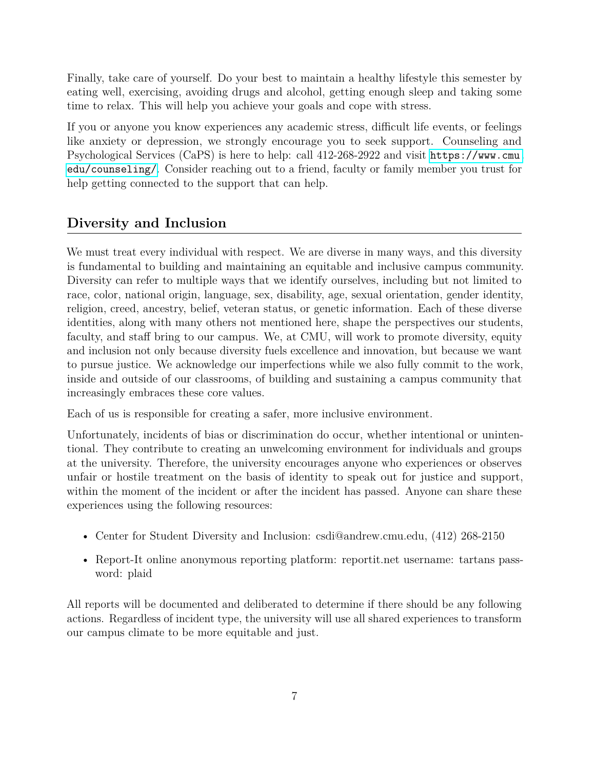Finally, take care of yourself. Do your best to maintain a healthy lifestyle this semester by eating well, exercising, avoiding drugs and alcohol, getting enough sleep and taking some time to relax. This will help you achieve your goals and cope with stress.

If you or anyone you know experiences any academic stress, difficult life events, or feelings like anxiety or depression, we strongly encourage you to seek support. Counseling and Psychological Services (CaPS) is here to help: call 412-268-2922 and visit [https://www.cmu.](https://www.cmu.edu/counseling/) [edu/counseling/](https://www.cmu.edu/counseling/). Consider reaching out to a friend, faculty or family member you trust for help getting connected to the support that can help.

# **Diversity and Inclusion**

We must treat every individual with respect. We are diverse in many ways, and this diversity is fundamental to building and maintaining an equitable and inclusive campus community. Diversity can refer to multiple ways that we identify ourselves, including but not limited to race, color, national origin, language, sex, disability, age, sexual orientation, gender identity, religion, creed, ancestry, belief, veteran status, or genetic information. Each of these diverse identities, along with many others not mentioned here, shape the perspectives our students, faculty, and staff bring to our campus. We, at CMU, will work to promote diversity, equity and inclusion not only because diversity fuels excellence and innovation, but because we want to pursue justice. We acknowledge our imperfections while we also fully commit to the work, inside and outside of our classrooms, of building and sustaining a campus community that increasingly embraces these core values.

Each of us is responsible for creating a safer, more inclusive environment.

Unfortunately, incidents of bias or discrimination do occur, whether intentional or unintentional. They contribute to creating an unwelcoming environment for individuals and groups at the university. Therefore, the university encourages anyone who experiences or observes unfair or hostile treatment on the basis of identity to speak out for justice and support, within the moment of the incident or after the incident has passed. Anyone can share these experiences using the following resources:

- Center for Student Diversity and Inclusion: csdi@andrew.cmu.edu,  $(412)$  268-2150
- Report-It online anonymous reporting platform: reportit.net username: tartans password: plaid

All reports will be documented and deliberated to determine if there should be any following actions. Regardless of incident type, the university will use all shared experiences to transform our campus climate to be more equitable and just.